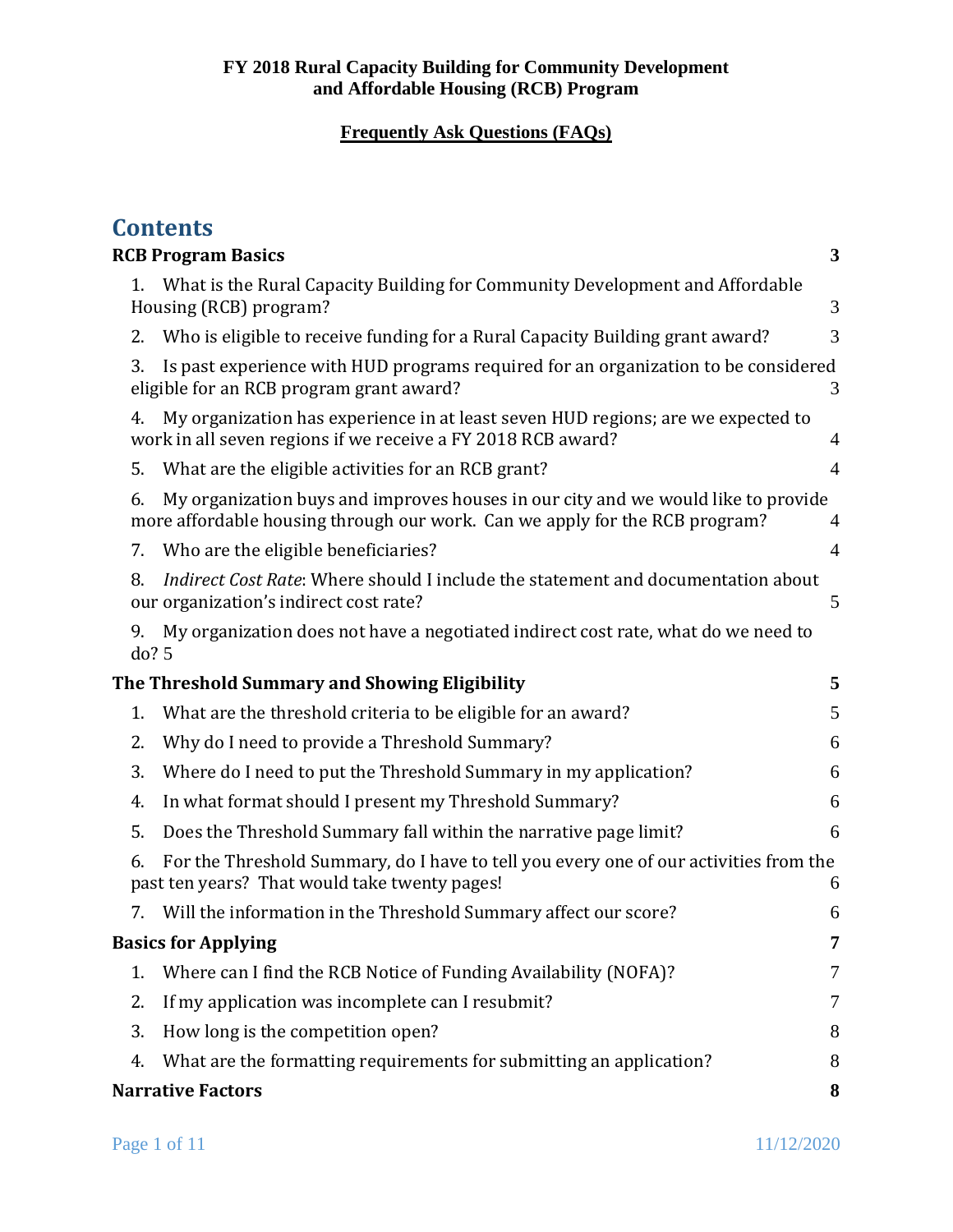|                            | <b>Contents</b>                                                                                                                                                  |                |  |  |
|----------------------------|------------------------------------------------------------------------------------------------------------------------------------------------------------------|----------------|--|--|
|                            | <b>RCB Program Basics</b><br>3                                                                                                                                   |                |  |  |
| 1.                         | What is the Rural Capacity Building for Community Development and Affordable<br>Housing (RCB) program?                                                           | 3              |  |  |
| 2.                         | Who is eligible to receive funding for a Rural Capacity Building grant award?                                                                                    | 3              |  |  |
| 3.                         | Is past experience with HUD programs required for an organization to be considered<br>eligible for an RCB program grant award?                                   | 3              |  |  |
| 4.                         | My organization has experience in at least seven HUD regions; are we expected to<br>work in all seven regions if we receive a FY 2018 RCB award?                 | 4              |  |  |
| 5.                         | What are the eligible activities for an RCB grant?                                                                                                               | $\overline{4}$ |  |  |
| 6.                         | My organization buys and improves houses in our city and we would like to provide<br>more affordable housing through our work. Can we apply for the RCB program? | 4              |  |  |
| 7.                         | Who are the eligible beneficiaries?                                                                                                                              | 4              |  |  |
| 8.                         | Indirect Cost Rate: Where should I include the statement and documentation about<br>our organization's indirect cost rate?                                       | 5              |  |  |
| 9.                         | My organization does not have a negotiated indirect cost rate, what do we need to<br>do? 5                                                                       |                |  |  |
|                            | The Threshold Summary and Showing Eligibility                                                                                                                    | 5              |  |  |
| 1.                         | What are the threshold criteria to be eligible for an award?                                                                                                     | 5              |  |  |
| 2.                         | Why do I need to provide a Threshold Summary?                                                                                                                    | 6              |  |  |
| 3.                         | Where do I need to put the Threshold Summary in my application?                                                                                                  | 6              |  |  |
| 4.                         | In what format should I present my Threshold Summary?                                                                                                            | 6              |  |  |
| 5.                         | Does the Threshold Summary fall within the narrative page limit?                                                                                                 | 6              |  |  |
| 6.                         | For the Threshold Summary, do I have to tell you every one of our activities from the<br>past ten years? That would take twenty pages!                           | 6              |  |  |
|                            | 7. Will the information in the Threshold Summary affect our score?                                                                                               | 6              |  |  |
| <b>Basics for Applying</b> |                                                                                                                                                                  | 7              |  |  |
| 1.                         | Where can I find the RCB Notice of Funding Availability (NOFA)?                                                                                                  | 7              |  |  |
| 2.                         | If my application was incomplete can I resubmit?                                                                                                                 | 7              |  |  |
| 3.                         | How long is the competition open?                                                                                                                                | 8              |  |  |
| 4.                         | What are the formatting requirements for submitting an application?                                                                                              | 8              |  |  |
|                            | <b>Narrative Factors</b>                                                                                                                                         | 8              |  |  |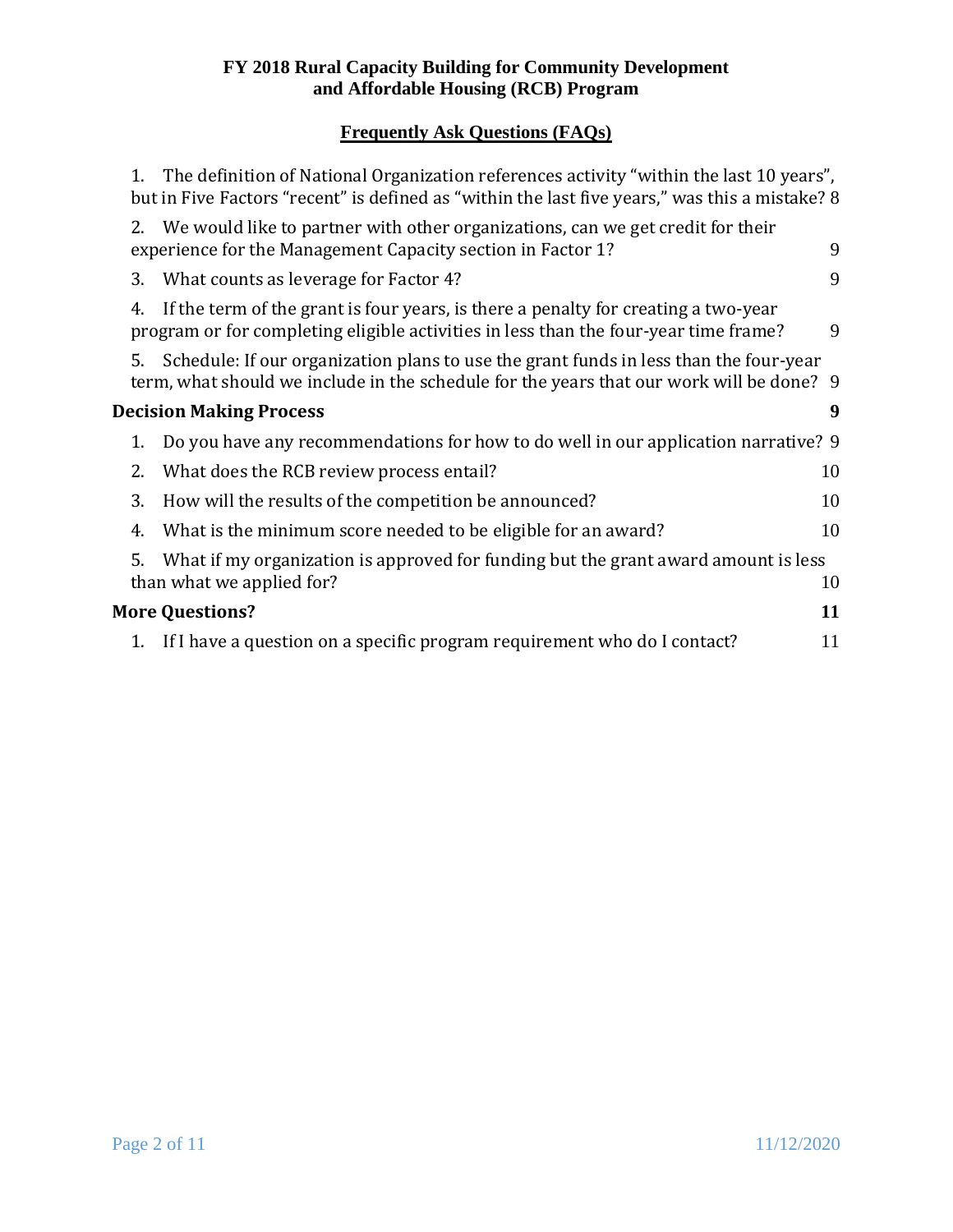# **Frequently Ask Questions (FAQs)**

|                                | 1.                           | The definition of National Organization references activity "within the last 10 years",<br>but in Five Factors "recent" is defined as "within the last five years," was this a mistake? 8 |    |  |  |
|--------------------------------|------------------------------|-------------------------------------------------------------------------------------------------------------------------------------------------------------------------------------------|----|--|--|
|                                |                              | 2. We would like to partner with other organizations, can we get credit for their<br>experience for the Management Capacity section in Factor 1?                                          | 9  |  |  |
|                                | 3.                           | What counts as leverage for Factor 4?                                                                                                                                                     | 9  |  |  |
|                                | 4.                           | If the term of the grant is four years, is there a penalty for creating a two-year<br>program or for completing eligible activities in less than the four-year time frame?                | 9  |  |  |
|                                | 5.                           | Schedule: If our organization plans to use the grant funds in less than the four-year<br>term, what should we include in the schedule for the years that our work will be done? 9         |    |  |  |
| <b>Decision Making Process</b> |                              |                                                                                                                                                                                           |    |  |  |
|                                | 1.                           | Do you have any recommendations for how to do well in our application narrative? 9                                                                                                        |    |  |  |
|                                | 2.                           | What does the RCB review process entail?                                                                                                                                                  | 10 |  |  |
|                                | 3.                           | How will the results of the competition be announced?                                                                                                                                     | 10 |  |  |
|                                | 4.                           | What is the minimum score needed to be eligible for an award?                                                                                                                             | 10 |  |  |
|                                | 5.                           | What if my organization is approved for funding but the grant award amount is less<br>than what we applied for?                                                                           | 10 |  |  |
|                                | <b>More Questions?</b><br>11 |                                                                                                                                                                                           |    |  |  |
|                                |                              | 1. If I have a question on a specific program requirement who do I contact?                                                                                                               | 11 |  |  |
|                                |                              |                                                                                                                                                                                           |    |  |  |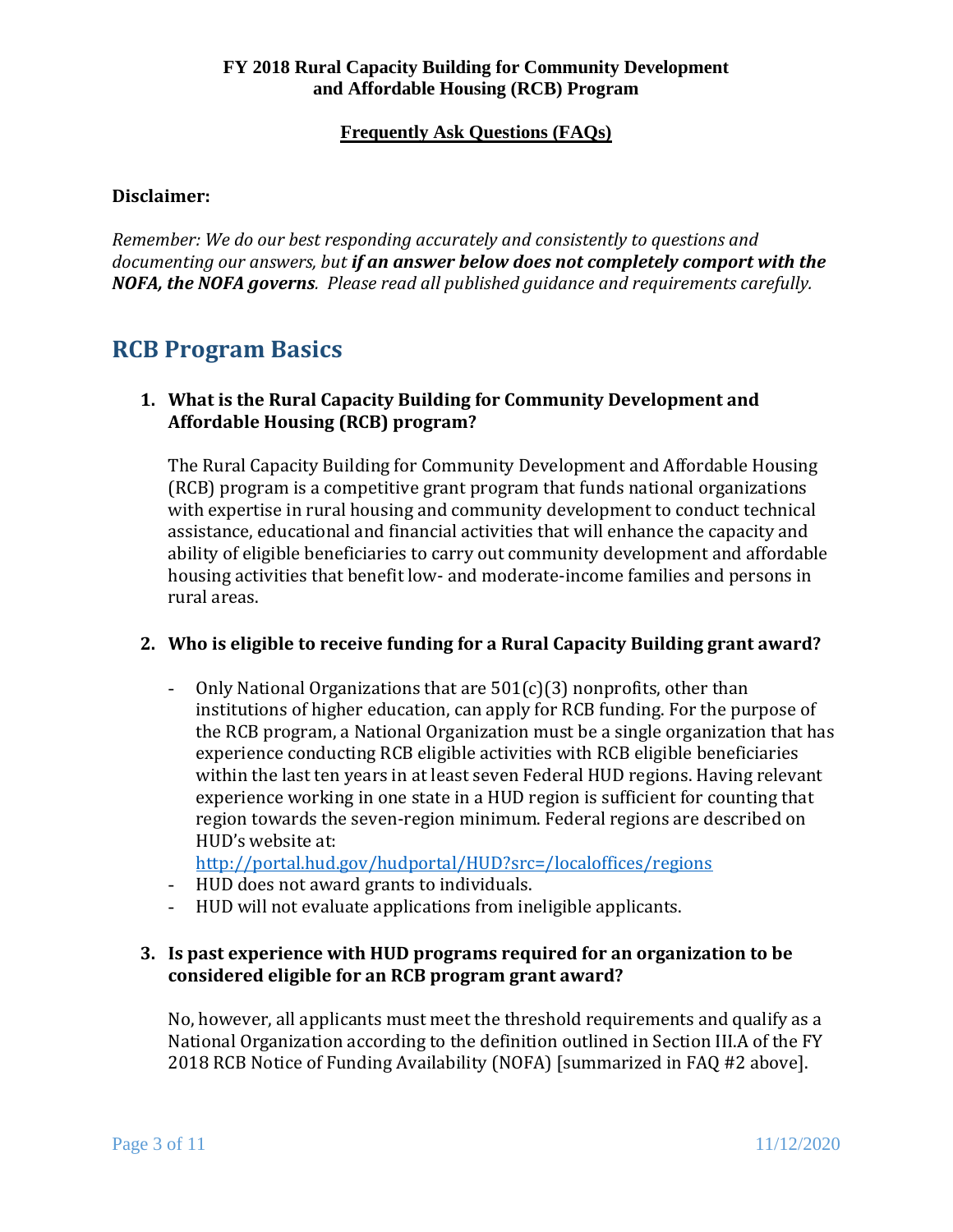## **Disclaimer:**

*Remember: We do our best responding accurately and consistently to questions and documenting our answers, but if an answer below does not completely comport with the NOFA, the NOFA governs. Please read all published guidance and requirements carefully.* 

# <span id="page-2-0"></span>**RCB Program Basics**

## <span id="page-2-1"></span>**1. What is the Rural Capacity Building for Community Development and Affordable Housing (RCB) program?**

The Rural Capacity Building for Community Development and Affordable Housing (RCB) program is a competitive grant program that funds national organizations with expertise in rural housing and community development to conduct technical assistance, educational and financial activities that will enhance the capacity and ability of eligible beneficiaries to carry out community development and affordable housing activities that benefit low- and moderate-income families and persons in rural areas.

## <span id="page-2-2"></span>**2. Who is eligible to receive funding for a Rural Capacity Building grant award?**

- Only National Organizations that are 501(c)(3) nonprofits, other than institutions of higher education, can apply for RCB funding. For the purpose of the RCB program, a National Organization must be a single organization that has experience conducting RCB eligible activities with RCB eligible beneficiaries within the last ten years in at least seven Federal HUD regions. Having relevant experience working in one state in a HUD region is sufficient for counting that region towards the seven-region minimum. Federal regions are described on HUD's website at:

<http://portal.hud.gov/hudportal/HUD?src=/localoffices/regions>

- HUD does not award grants to individuals.
- HUD will not evaluate applications from ineligible applicants.

## <span id="page-2-3"></span>**3. Is past experience with HUD programs required for an organization to be considered eligible for an RCB program grant award?**

 No, however, all applicants must meet the threshold requirements and qualify as a National Organization according to the definition outlined in Section III.A of the FY 2018 RCB Notice of Funding Availability (NOFA) [summarized in FAQ #2 above].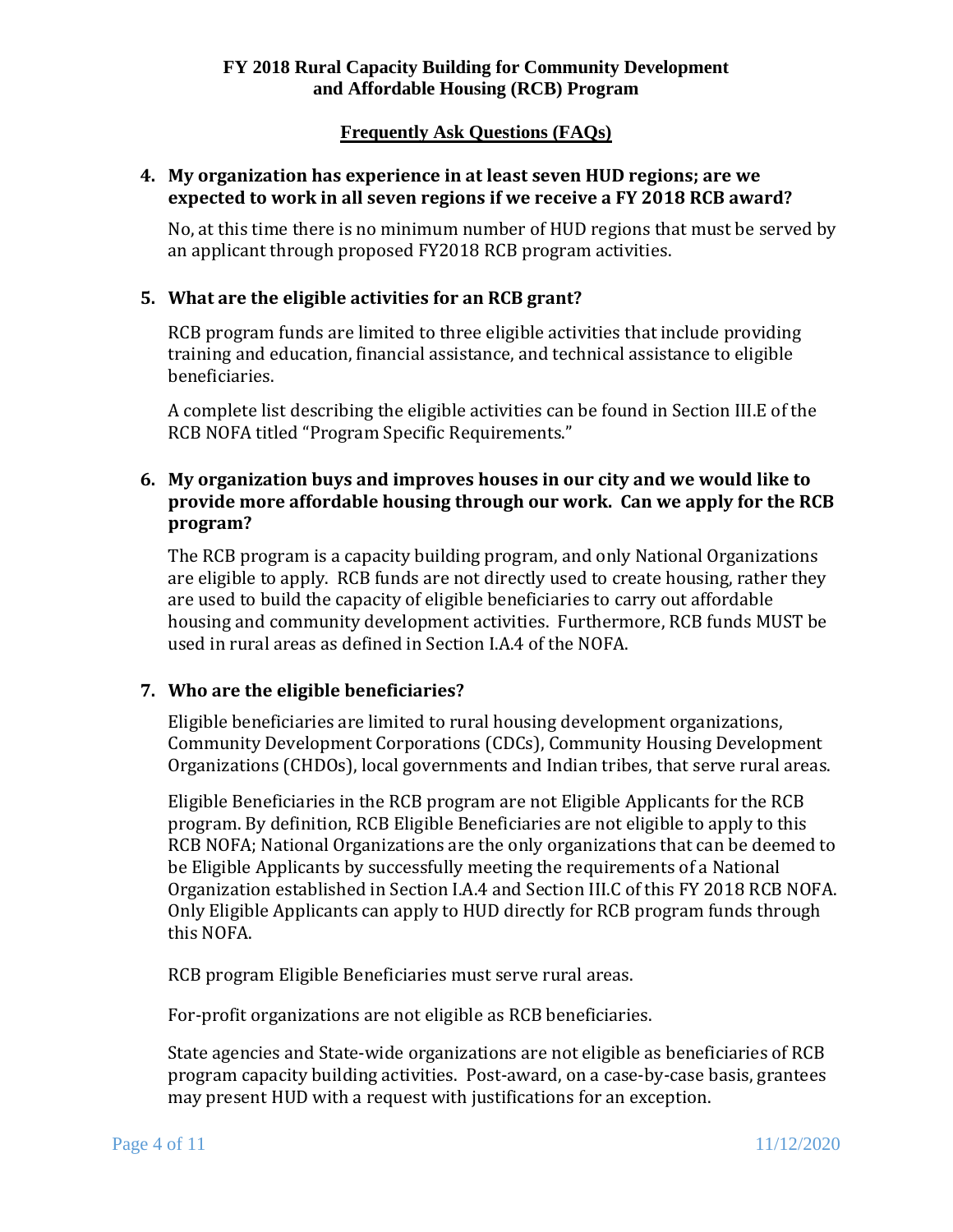### <span id="page-3-0"></span>**4. My organization has experience in at least seven HUD regions; are we expected to work in all seven regions if we receive a FY 2018 RCB award?**

No, at this time there is no minimum number of HUD regions that must be served by an applicant through proposed FY2018 RCB program activities.

## <span id="page-3-1"></span>**5. What are the eligible activities for an RCB grant?**

RCB program funds are limited to three eligible activities that include providing training and education, financial assistance, and technical assistance to eligible beneficiaries.

 RCB NOFA titled "Program Specific Requirements." A complete list describing the eligible activities can be found in Section III.E of the

## <span id="page-3-2"></span>**6. My organization buys and improves houses in our city and we would like to provide more affordable housing through our work. Can we apply for the RCB program?**

The RCB program is a capacity building program, and only National Organizations are eligible to apply. RCB funds are not directly used to create housing, rather they are used to build the capacity of eligible beneficiaries to carry out affordable housing and community development activities. Furthermore, RCB funds MUST be used in rural areas as defined in Section I.A.4 of the NOFA.

## <span id="page-3-3"></span>**7. Who are the eligible beneficiaries?**

Organizations (CHDOs), local governments and Indian tribes, that serve rural areas. Eligible beneficiaries are limited to rural housing development organizations, Community Development Corporations (CDCs), Community Housing Development

Eligible Beneficiaries in the RCB program are not Eligible Applicants for the RCB program. By definition, RCB Eligible Beneficiaries are not eligible to apply to this RCB NOFA; National Organizations are the only organizations that can be deemed to be Eligible Applicants by successfully meeting the requirements of a National Organization established in Section I.A.4 and Section III.C of this FY 2018 RCB NOFA. Only Eligible Applicants can apply to HUD directly for RCB program funds through this NOFA.

RCB program Eligible Beneficiaries must serve rural areas.

For-profit organizations are not eligible as RCB beneficiaries.

State agencies and State-wide organizations are not eligible as beneficiaries of RCB program capacity building activities. Post-award, on a case-by-case basis, grantees may present HUD with a request with justifications for an exception.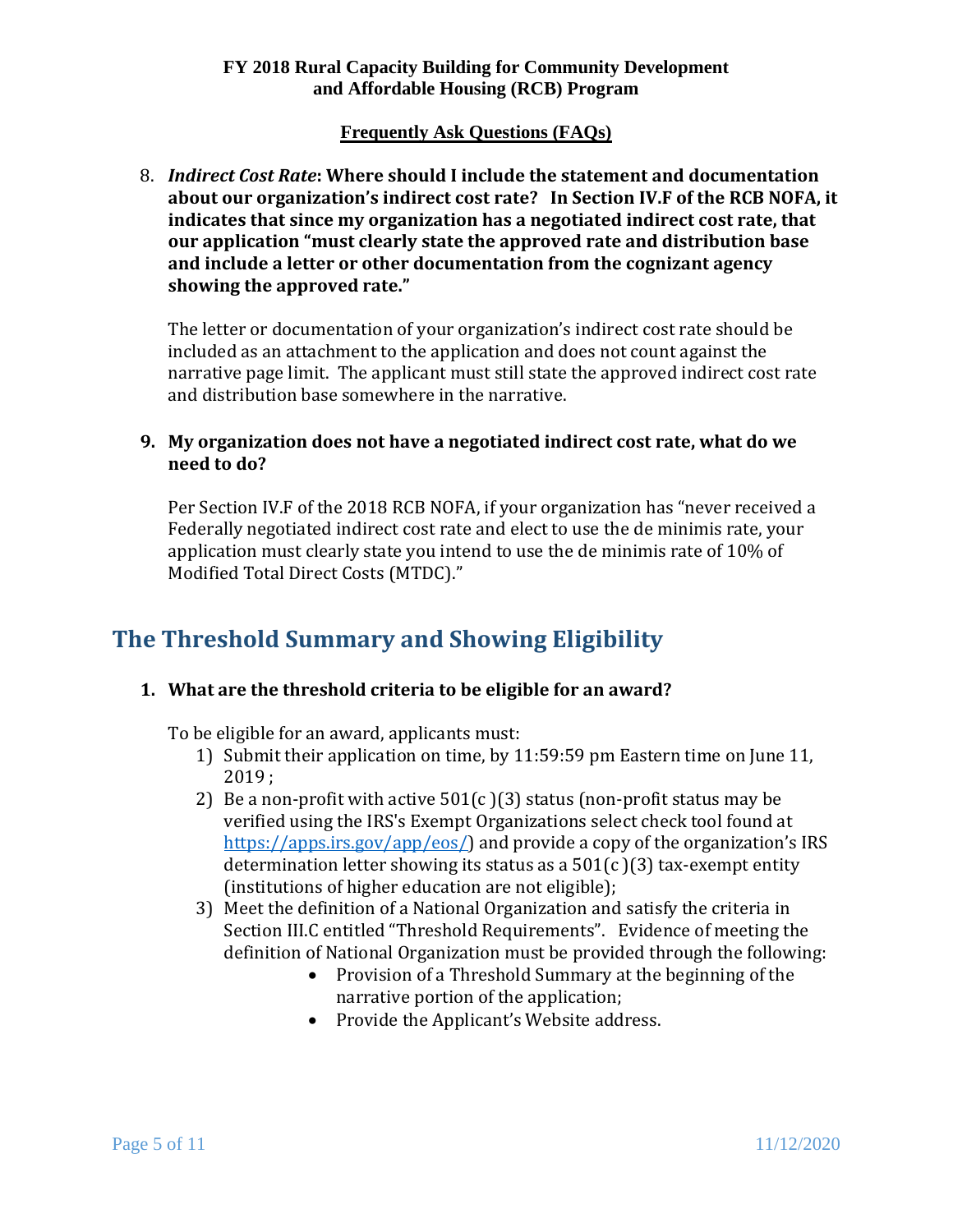## **Frequently Ask Questions (FAQs)**

<span id="page-4-0"></span> **about our organization's indirect cost rate? In Section IV.F of the RCB NOFA, it**  8. *Indirect Cost Rate***: Where should I include the statement and documentation indicates that since my organization has a negotiated indirect cost rate, that our application "must clearly state the approved rate and distribution base and include a letter or other documentation from the cognizant agency showing the approved rate."** 

The letter or documentation of your organization's indirect cost rate should be included as an attachment to the application and does not count against the narrative page limit. The applicant must still state the approved indirect cost rate and distribution base somewhere in the narrative.

## <span id="page-4-1"></span>**9. My organization does not have a negotiated indirect cost rate, what do we need to do?**

Per Section IV.F of the 2018 RCB NOFA, if your organization has "never received a Federally negotiated indirect cost rate and elect to use the de minimis rate, your application must clearly state you intend to use the de minimis rate of 10% of Modified Total Direct Costs (MTDC)."

# <span id="page-4-2"></span>**The Threshold Summary and Showing Eligibility**

## <span id="page-4-3"></span>**1. What are the threshold criteria to be eligible for an award?**

To be eligible for an award, applicants must:

- 1) Submit their application on time, by 11:59:59 pm Eastern time on June 11, 2019 ;
- 2) Be a non-profit with active  $501(c)(3)$  status (non-profit status may be verified using the IRS's Exempt Organizations select check tool found at [https://apps.irs.gov/app/eos/\)](https://apps.irs.gov/app/eos/) and provide a copy of the organization's IRS determination letter showing its status as a  $501(c)(3)$  tax-exempt entity (institutions of higher education are not eligible);
- Section III.C entitled "Threshold Requirements". Evidence of meeting the 3) Meet the definition of a National Organization and satisfy the criteria in definition of National Organization must be provided through the following:
	- Provision of a Threshold Summary at the beginning of the narrative portion of the application;
	- Provide the Applicant's Website address.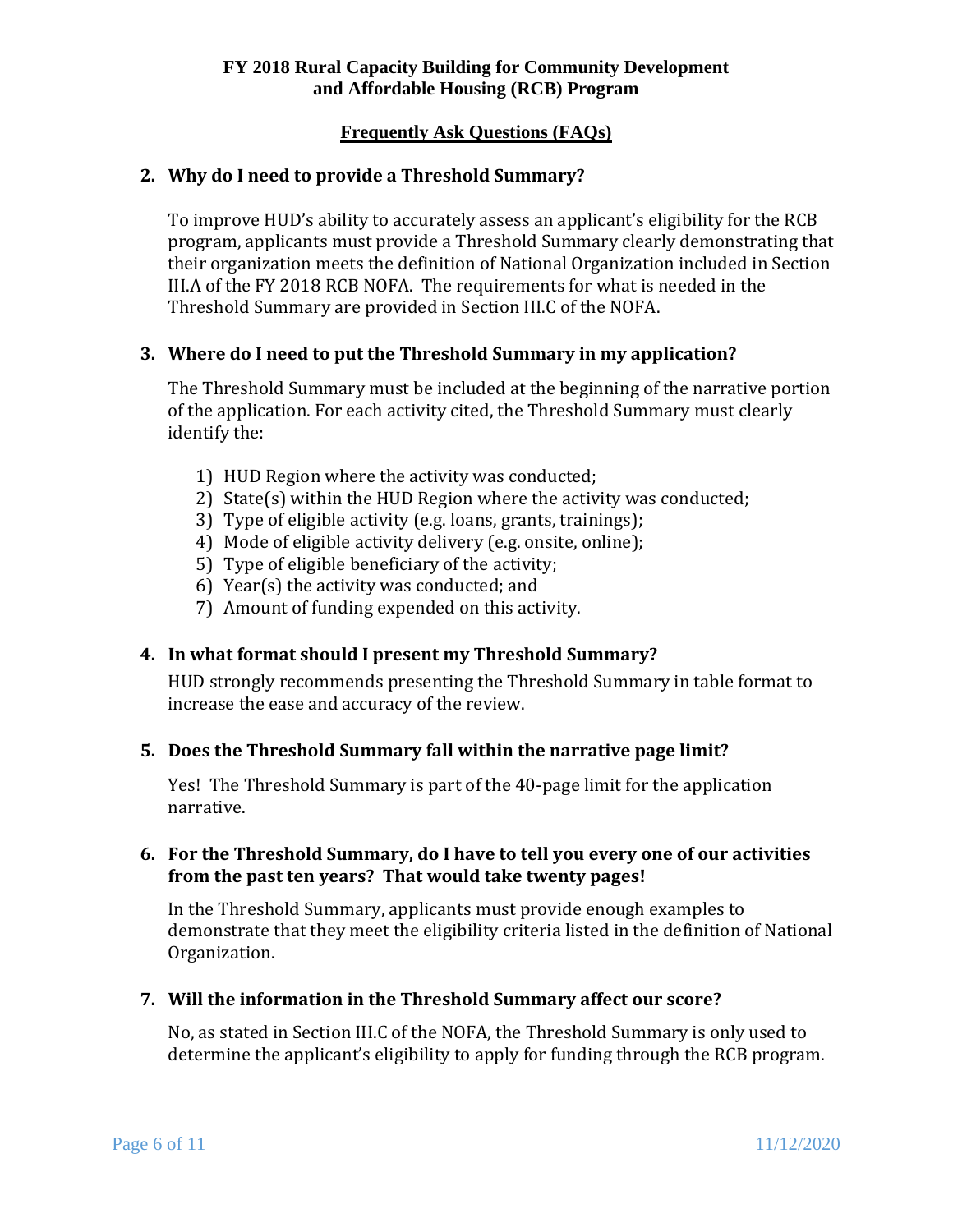## **Frequently Ask Questions (FAQs)**

### <span id="page-5-0"></span>**2. Why do I need to provide a Threshold Summary?**

 III.A of the FY 2018 RCB NOFA. The requirements for what is needed in the To improve HUD's ability to accurately assess an applicant's eligibility for the RCB program, applicants must provide a Threshold Summary clearly demonstrating that their organization meets the definition of National Organization included in Section Threshold Summary are provided in Section III.C of the NOFA.

### <span id="page-5-1"></span>**3. Where do I need to put the Threshold Summary in my application?**

The Threshold Summary must be included at the beginning of the narrative portion of the application. For each activity cited, the Threshold Summary must clearly identify the:

- 1) HUD Region where the activity was conducted;
- 2) State(s) within the HUD Region where the activity was conducted;
- 3) Type of eligible activity (e.g. loans, grants, trainings);
- 4) Mode of eligible activity delivery (e.g. onsite, online);
- 5) Type of eligible beneficiary of the activity;
- 6) Year(s) the activity was conducted; and
- 7) Amount of funding expended on this activity.

## <span id="page-5-2"></span>**4. In what format should I present my Threshold Summary?**

HUD strongly recommends presenting the Threshold Summary in table format to increase the ease and accuracy of the review.

#### <span id="page-5-3"></span>**5. Does the Threshold Summary fall within the narrative page limit?**

 narrative. Yes! The Threshold Summary is part of the 40-page limit for the application

### <span id="page-5-4"></span> **from the past ten years? That would take twenty pages! 6. For the Threshold Summary, do I have to tell you every one of our activities**

In the Threshold Summary, applicants must provide enough examples to demonstrate that they meet the eligibility criteria listed in the definition of National Organization.

#### <span id="page-5-5"></span>**7. Will the information in the Threshold Summary affect our score?**

No, as stated in Section III.C of the NOFA, the Threshold Summary is only used to determine the applicant's eligibility to apply for funding through the RCB program.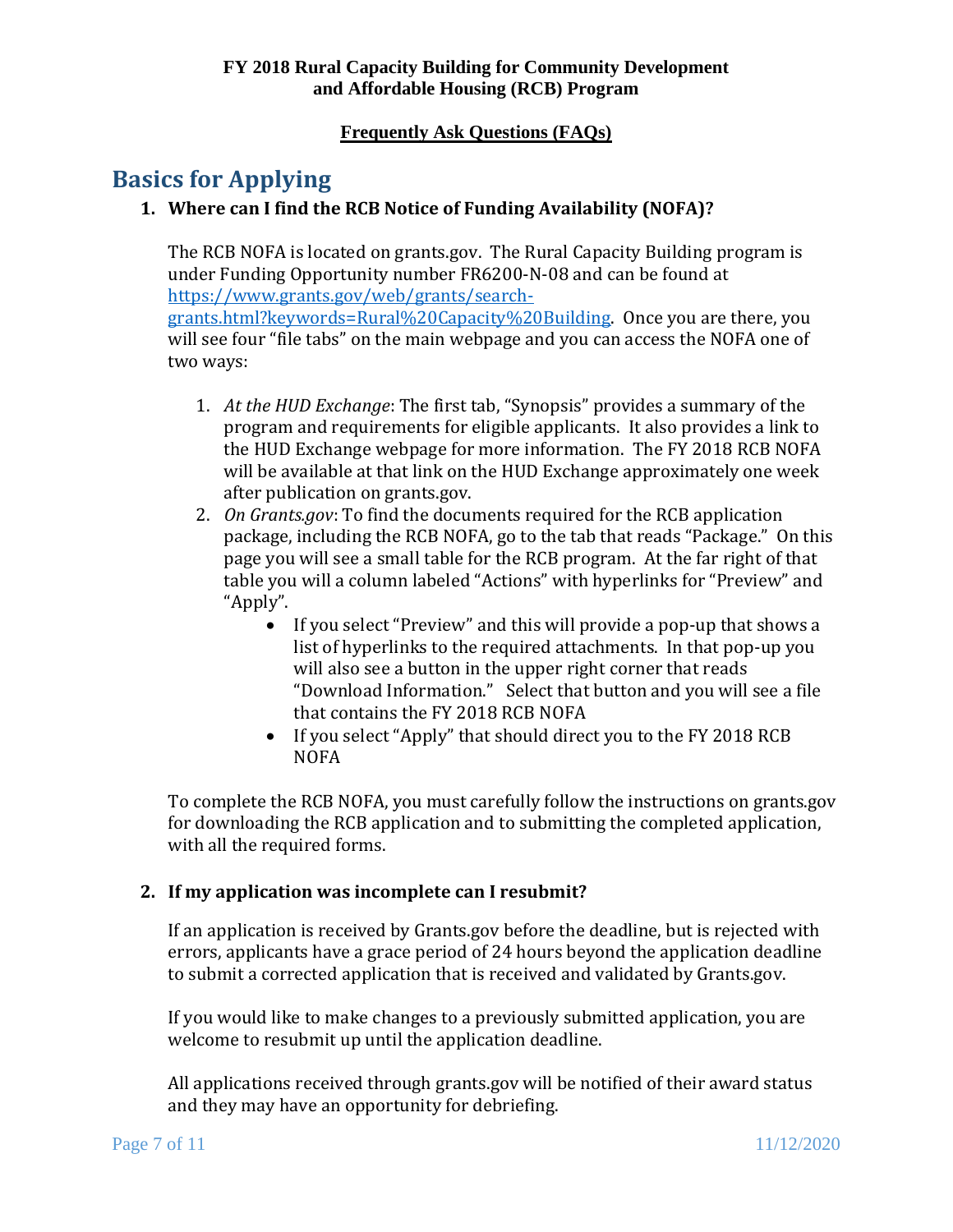# <span id="page-6-1"></span><span id="page-6-0"></span>**Basics for Applying**

# **1. Where can I find the RCB Notice of Funding Availability (NOFA)?**

The RCB NOFA is located on grants.gov. The Rural Capacity Building program is under Funding Opportunity number FR6200-N-08 and can be found at [https://www.grants.gov/web/grants/search-](https://www.grants.gov/web/grants/search-grants.html?keywords=Rural%20Capacity%20Building)

two ways: [grants.html?keywords=Rural%20Capacity%20Building.](https://www.grants.gov/web/grants/search-grants.html?keywords=Rural%20Capacity%20Building) Once you are there, you will see four "file tabs" on the main webpage and you can access the NOFA one of

- 1. *At the HUD Exchange*: The first tab, "Synopsis" provides a summary of the program and requirements for eligible applicants. It also provides a link to the HUD Exchange webpage for more information. The FY 2018 RCB NOFA will be available at that link on the HUD Exchange approximately one week after publication on grants.gov.
- package, including the RCB NOFA, go to the tab that reads "Package." On this table you will a column labeled "Actions" with hyperlinks for "Preview" and "Apply". 2. *On Grants.gov*: To find the documents required for the RCB application page you will see a small table for the RCB program. At the far right of that
	- "Download Information." Select that button and you will see a file • If you select "Preview" and this will provide a pop-up that shows a list of hyperlinks to the required attachments. In that pop-up you will also see a button in the upper right corner that reads that contains the FY 2018 RCB NOFA
	- If you select "Apply" that should direct you to the FY 2018 RCB NOFA

To complete the RCB NOFA, you must carefully follow the instructions on grants.gov for downloading the RCB application and to submitting the completed application, with all the required forms.

## <span id="page-6-2"></span>**2. If my application was incomplete can I resubmit?**

If an application is received by Grants.gov before the deadline, but is rejected with errors, applicants have a grace period of 24 hours beyond the application deadline to submit a corrected application that is received and validated by Grants.gov.

If you would like to make changes to a previously submitted application, you are welcome to resubmit up until the application deadline.

All applications received through grants.gov will be notified of their award status and they may have an opportunity for debriefing.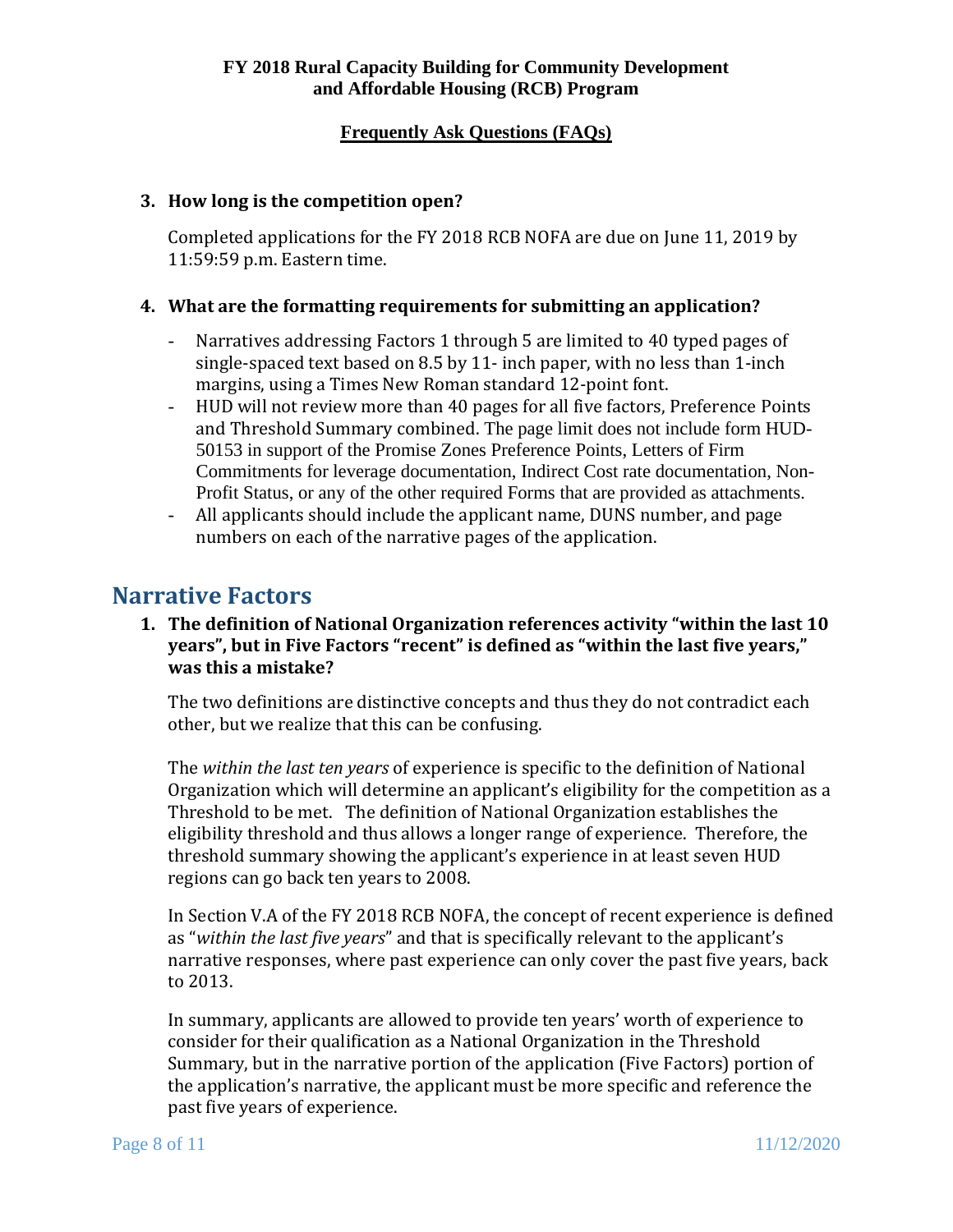### <span id="page-7-0"></span>**3. How long is the competition open?**

Completed applications for the FY 2018 RCB NOFA are due on June 11, 2019 by 11:59:59 p.m. Eastern time.

### <span id="page-7-1"></span>**4. What are the formatting requirements for submitting an application?**

- Narratives addressing Factors 1 through 5 are limited to 40 typed pages of single-spaced text based on 8.5 by 11- inch paper, with no less than 1-inch margins, using a Times New Roman standard 12-point font.
- HUD will not review more than 40 pages for all five factors, Preference Points and Threshold Summary combined. The page limit does not include form HUD-50153 in support of the Promise Zones Preference Points, Letters of Firm Commitments for leverage documentation, Indirect Cost rate documentation, Non-Profit Status, or any of the other required Forms that are provided as attachments.
- - All applicants should include the applicant name, DUNS number, and page numbers on each of the narrative pages of the application.

# <span id="page-7-3"></span><span id="page-7-2"></span>**Narrative Factors**

## **1. The definition of National Organization references activity "within the last 10 years", but in Five Factors "recent" is defined as "within the last five years," was this a mistake?**

other, but we realize that this can be confusing. The two definitions are distinctive concepts and thus they do not contradict each

 Threshold to be met. The definition of National Organization establishes the The *within the last ten vears* of experience is specific to the definition of National Organization which will determine an applicant's eligibility for the competition as a eligibility threshold and thus allows a longer range of experience. Therefore, the threshold summary showing the applicant's experience in at least seven HUD regions can go back ten years to 2008.

In Section V.A of the FY 2018 RCB NOFA, the concept of recent experience is defined as "*within the last five years*" and that is specifically relevant to the applicant's narrative responses, where past experience can only cover the past five years, back to 2013.

 past five years of experience. In summary, applicants are allowed to provide ten years' worth of experience to consider for their qualification as a National Organization in the Threshold Summary, but in the narrative portion of the application (Five Factors) portion of the application's narrative, the applicant must be more specific and reference the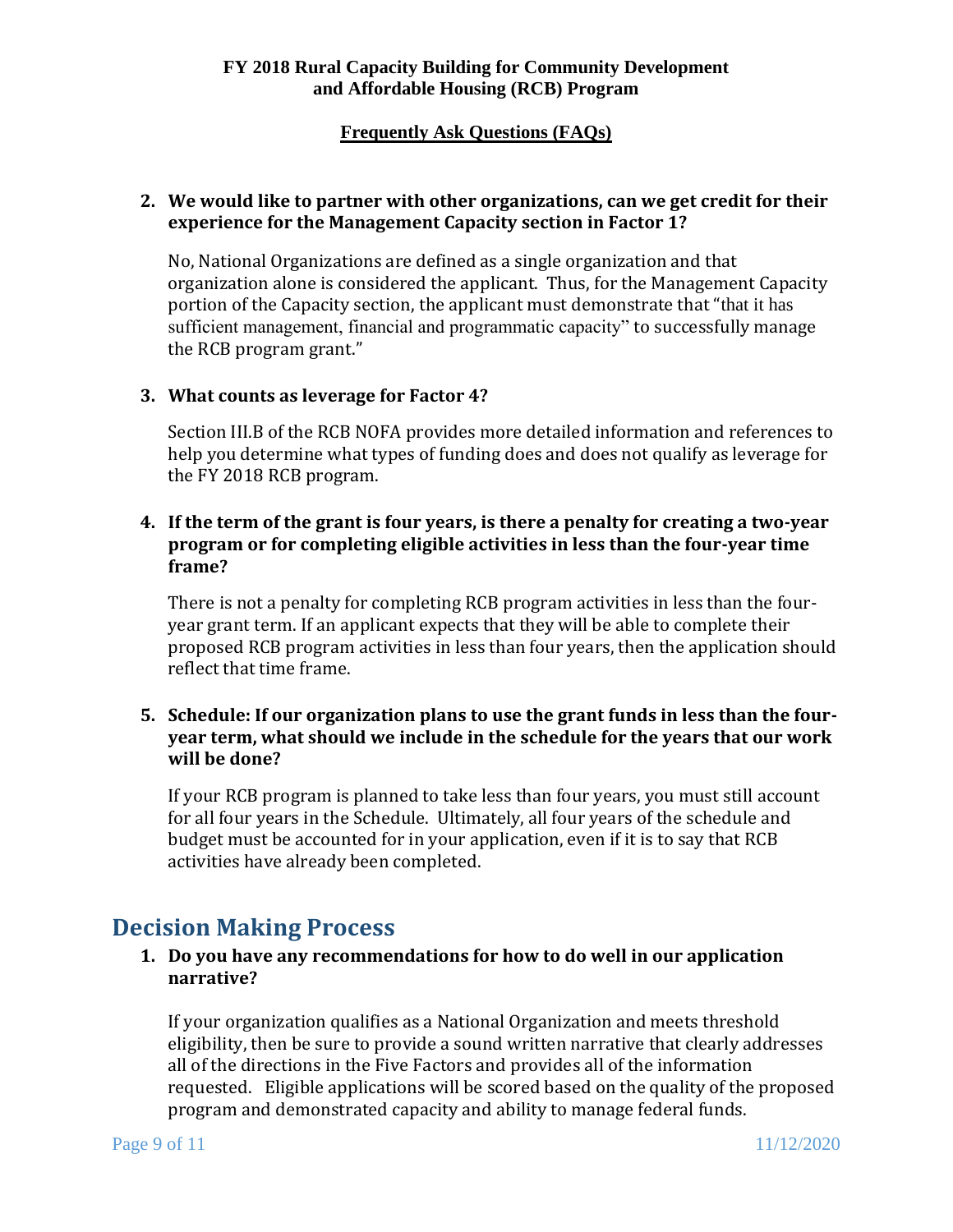## **Frequently Ask Questions (FAQs)**

### <span id="page-8-0"></span>**2. We would like to partner with other organizations, can we get credit for their experience for the Management Capacity section in Factor 1?**

 organization alone is considered the applicant. Thus, for the Management Capacity the RCB program grant." No, National Organizations are defined as a single organization and that portion of the Capacity section, the applicant must demonstrate that "that it has sufficient management, financial and programmatic capacity" to successfully manage

## <span id="page-8-1"></span>**3. What counts as leverage for Factor 4?**

Section III.B of the RCB NOFA provides more detailed information and references to help you determine what types of funding does and does not qualify as leverage for the FY 2018 RCB program.

## <span id="page-8-2"></span>**4. If the term of the grant is four years, is there a penalty for creating a two-year program or for completing eligible activities in less than the four-year time frame?**

 reflect that time frame. There is not a penalty for completing RCB program activities in less than the fouryear grant term. If an applicant expects that they will be able to complete their proposed RCB program activities in less than four years, then the application should

### <span id="page-8-3"></span>**5. Schedule: If our organization plans to use the grant funds in less than the fouryear term, what should we include in the schedule for the years that our work will be done?**

If your RCB program is planned to take less than four years, you must still account for all four years in the Schedule. Ultimately, all four years of the schedule and budget must be accounted for in your application, even if it is to say that RCB activities have already been completed.

# <span id="page-8-5"></span><span id="page-8-4"></span>**Decision Making Process**

## **1. Do you have any recommendations for how to do well in our application narrative?**

 requested. Eligible applications will be scored based on the quality of the proposed If your organization qualifies as a National Organization and meets threshold eligibility, then be sure to provide a sound written narrative that clearly addresses all of the directions in the Five Factors and provides all of the information program and demonstrated capacity and ability to manage federal funds.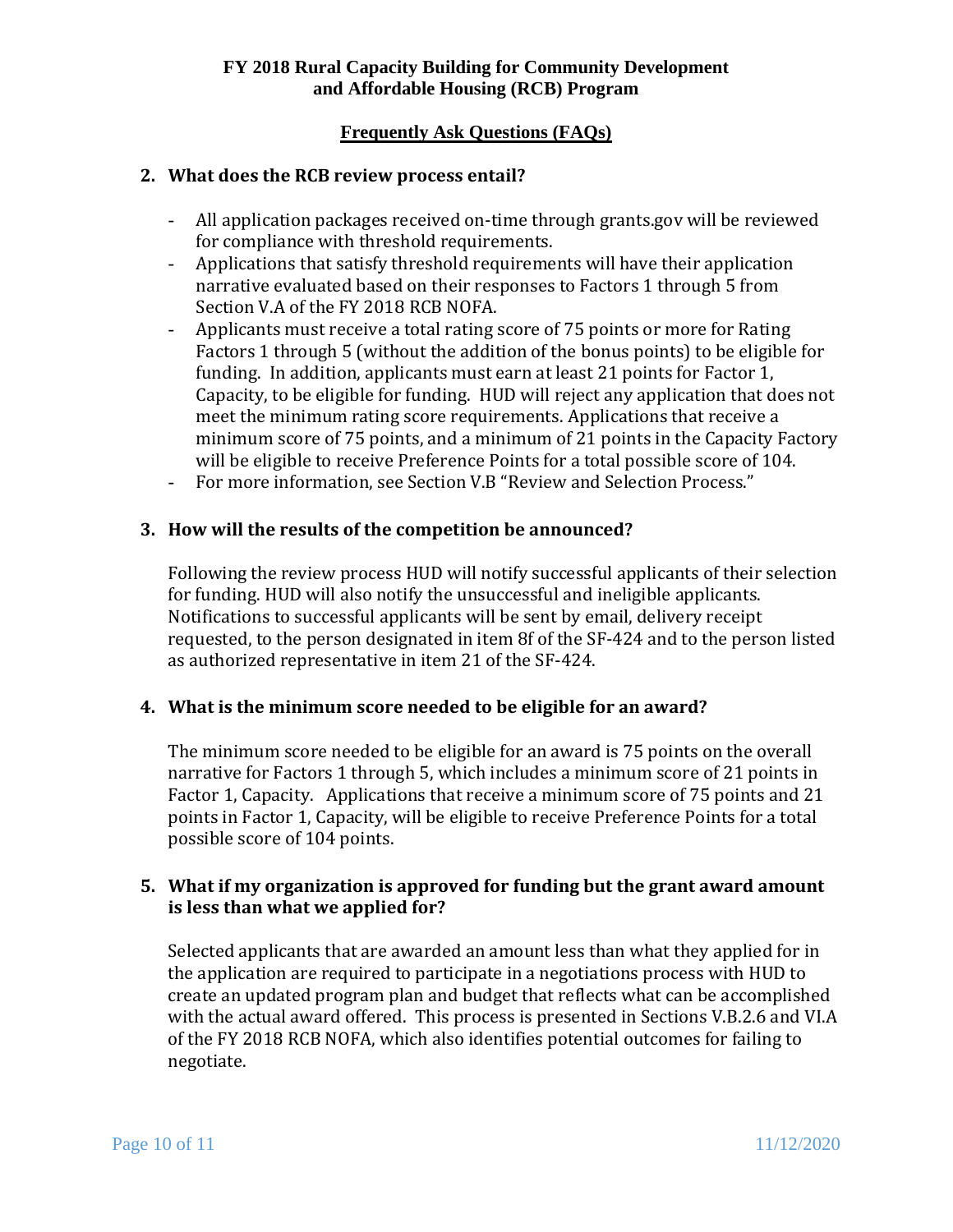## **Frequently Ask Questions (FAQs)**

### <span id="page-9-0"></span>**2. What does the RCB review process entail?**

- All application packages received on-time through grants.gov will be reviewed for compliance with threshold requirements.
- Applications that satisfy threshold requirements will have their application narrative evaluated based on their responses to Factors 1 through 5 from Section V.A of the FY 2018 RCB NOFA.
- will be eligible to receive Preference Points for a total possible score of 104. - Applicants must receive a total rating score of 75 points or more for Rating Factors 1 through 5 (without the addition of the bonus points) to be eligible for funding. In addition, applicants must earn at least 21 points for Factor 1, Capacity, to be eligible for funding. HUD will reject any application that does not meet the minimum rating score requirements. Applications that receive a minimum score of 75 points, and a minimum of 21 points in the Capacity Factory
- For more information, see Section V.B "Review and Selection Process."

### <span id="page-9-1"></span>**3. How will the results of the competition be announced?**

Following the review process HUD will notify successful applicants of their selection for funding. HUD will also notify the unsuccessful and ineligible applicants. Notifications to successful applicants will be sent by email, delivery receipt requested, to the person designated in item 8f of the SF-424 and to the person listed as authorized representative in item 21 of the SF-424.

## <span id="page-9-2"></span>**4. What is the minimum score needed to be eligible for an award?**

 possible score of 104 points. The minimum score needed to be eligible for an award is 75 points on the overall narrative for Factors 1 through 5, which includes a minimum score of 21 points in Factor 1, Capacity. Applications that receive a minimum score of 75 points and 21 points in Factor 1, Capacity, will be eligible to receive Preference Points for a total

## <span id="page-9-3"></span>**5. What if my organization is approved for funding but the grant award amount is less than what we applied for?**

 negotiate. Selected applicants that are awarded an amount less than what they applied for in the application are required to participate in a negotiations process with HUD to create an updated program plan and budget that reflects what can be accomplished with the actual award offered. This process is presented in Sections V.B.2.6 and VI.A of the FY 2018 RCB NOFA, which also identifies potential outcomes for failing to